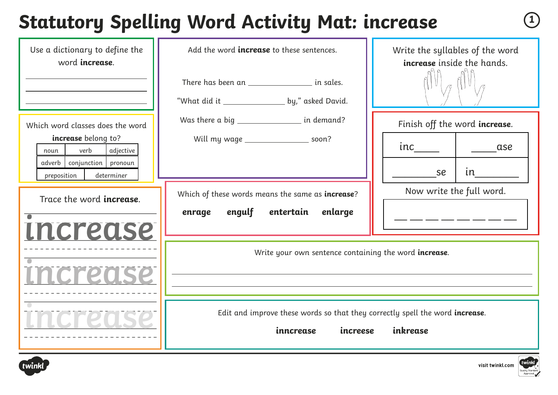# **Statutory Spelling Word Activity Mat: increase <sup>1</sup>**

| Use a dictionary to define the<br>word <b>increase</b> .                          | Add the word <i>increase</i> to these sentences.                                                                          | Write the syllables of the word<br><b>increase</b> inside the hands. |
|-----------------------------------------------------------------------------------|---------------------------------------------------------------------------------------------------------------------------|----------------------------------------------------------------------|
|                                                                                   | There has been an _______________________ in sales.                                                                       |                                                                      |
| Which word classes does the word                                                  | Was there a big _____________________ in demand?                                                                          | Finish off the word increase.                                        |
| increase belong to?<br>adjective<br>verb<br>noun<br>conjunction pronoun<br>adverb | Will my wage _____________________ soon?                                                                                  | ase                                                                  |
| preposition<br>determiner                                                         |                                                                                                                           | in<br>se<br>Now write the full word.                                 |
| Trace the word <b>increase</b> .                                                  | Which of these words means the same as increase?<br>engulf<br>entertain enlarge<br>enrage                                 |                                                                      |
| <i><b>Increase</b></i>                                                            |                                                                                                                           |                                                                      |
|                                                                                   | Write your own sentence containing the word increase.<br><u> 1989 - Andrea Stadt Britain, amerikansk politik (* 1958)</u> |                                                                      |
| Increds:                                                                          |                                                                                                                           |                                                                      |
|                                                                                   | Edit and improve these words so that they correctly spell the word increase.<br>inncrease<br>increese                     | inkrease                                                             |



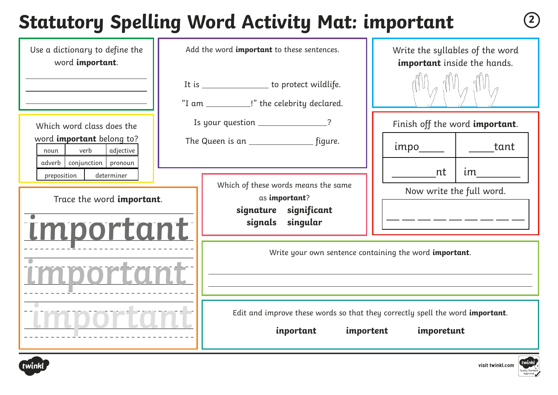## **Statutory Spelling Word Activity Mat: important <sup>2</sup>**

| Use a dictionary to define the<br>word important.                                               |  | Add the word important to these sentences.                                                   | Write the syllables of the word<br>important inside the hands.                              |
|-------------------------------------------------------------------------------------------------|--|----------------------------------------------------------------------------------------------|---------------------------------------------------------------------------------------------|
|                                                                                                 |  | It is __________________ to protect wildlife.<br>"I am ___________!" the celebrity declared. |                                                                                             |
| Which word class does the                                                                       |  | Is your question ________________?                                                           | Finish off the word important.                                                              |
| word <i>important</i> belong to?<br>verb<br>adjective<br>noun<br>adverb   conjunction   pronoun |  |                                                                                              | tant                                                                                        |
| preposition<br>determiner<br>Trace the word important.                                          |  | Which of these words means the same<br>as important?                                         | im<br>nt<br>Now write the full word.                                                        |
| important                                                                                       |  | signature significant<br>signals singular                                                    |                                                                                             |
|                                                                                                 |  |                                                                                              | Write your own sentence containing the word important.                                      |
|                                                                                                 |  | importent<br>inportant                                                                       | Edit and improve these words so that they correctly spell the word important.<br>imporetunt |



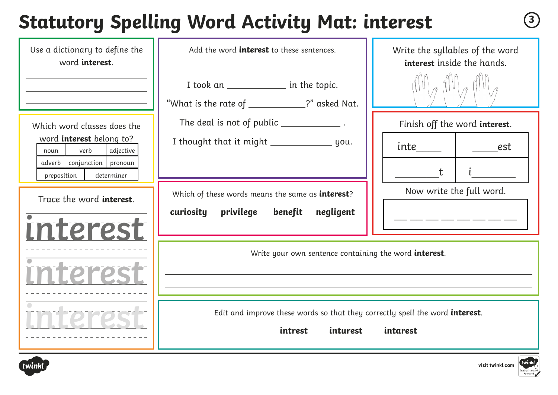#### **Statutory Spelling Word Activity Mat: interest <sup>3</sup>**

| Use a dictionary to define the<br>word interest.                                                                                                    | Add the word <b>interest</b> to these sentences.                                                    | Write the syllables of the word<br>interest inside the hands.             |
|-----------------------------------------------------------------------------------------------------------------------------------------------------|-----------------------------------------------------------------------------------------------------|---------------------------------------------------------------------------|
|                                                                                                                                                     | I took an _______________ in the topic.<br>"What is the rate of ___________?" asked Nat.            |                                                                           |
| Which word classes does the<br>word interest belong to?<br>adjective<br>verb<br>noun<br>adverb   conjunction   pronoun<br>preposition<br>determiner | The deal is not of public ______________.                                                           | Finish off the word interest.<br>inte____<br>est<br>t                     |
| Trace the word interest.<br>interest                                                                                                                | Which of these words means the same as interest?<br>privilege<br>benefit<br>negligent<br>curiosity  | Now write the full word.<br>للتنا لتنبيت التنبيب التنبيب التنبيب والمنتقل |
| nterz                                                                                                                                               | Write your own sentence containing the word <b>interest</b> .                                       |                                                                           |
|                                                                                                                                                     | Edit and improve these words so that they correctly spell the word interest.<br>intrest<br>inturest | intarest                                                                  |



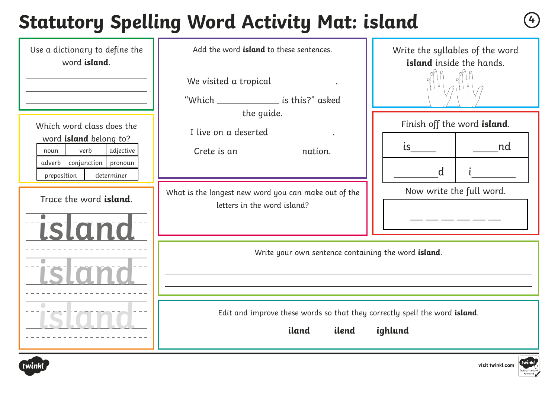## **Statutory Spelling Word Activity Mat: island <sup>4</sup>**

| Use a dictionary to define the<br>word <i>island</i> .                                                                                           | Add the word <b>island</b> to these sentences.<br>We visited a tropical ____________.<br>"Which _____________________ is this?" asked                                   | Write the syllables of the word<br>island inside the hands. |
|--------------------------------------------------------------------------------------------------------------------------------------------------|-------------------------------------------------------------------------------------------------------------------------------------------------------------------------|-------------------------------------------------------------|
| Which word class does the<br>word island belong to?<br>verb<br>adjective<br>noun<br>conjunction   pronoun<br>adverb<br>preposition<br>determiner | the quide.<br>I live on a deserted _____________.                                                                                                                       | Finish off the word island.<br>nd nd<br>d                   |
| Trace the word island.<br><b>ISIdno</b>                                                                                                          | What is the longest new word you can make out of the<br>letters in the word island?                                                                                     | Now write the full word.                                    |
|                                                                                                                                                  | Write your own sentence containing the word island.<br>and the control of the control of the control of the control of the control of the control of the control of the |                                                             |
|                                                                                                                                                  | Edit and improve these words so that they correctly spell the word island.<br>iland<br>ighlund<br>ilend                                                                 |                                                             |